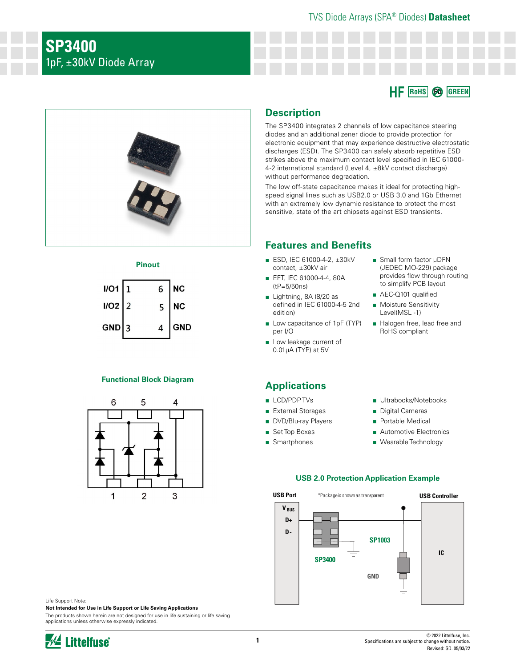



#### **Pinout**

| $I/O1$   1 | $6\overline{6}$ | NC         |
|------------|-----------------|------------|
| $I/O2$ 2   | 5 <sup>1</sup>  | NC         |
| $GND$ 3    | 4               | <b>GND</b> |

#### **Functional Block Diagram**



Life Support Note:

**Not Intended for Use in Life Support or Life Saving Applications**

The products shown herein are not designed for use in life sustaining or life saving applications unless otherwise expressly indicated.



## **Description**

The SP3400 integrates 2 channels of low capacitance steering diodes and an additional zener diode to provide protection for electronic equipment that may experience destructive electrostatic discharges (ESD). The SP3400 can safely absorb repetitive ESD strikes above the maximum contact level specified in IEC 61000- 4-2 international standard (Level 4, ±8kV contact discharge) without performance degradation.

The low off-state capacitance makes it ideal for protecting highspeed signal lines such as USB2.0 or USB 3.0 and 1Gb Ethernet with an extremely low dynamic resistance to protect the most sensitive, state of the art chipsets against ESD transients.

## **Features and Benefits**

- ESD, IEC 61000-4-2, ±30kV contact, ±30kV air
- EFT, IEC 61000-4-4, 80A (tP=5/50ns)
- Lightning, 8A (8/20 as defined in IEC 61000-4-5 2nd edition)
- Low capacitance of 1pF (TYP) per I/O
- Low leakage current of 0.01μA (TYP) at 5V

## **Applications**

- LCD/PDP TVs
- External Storages
- DVD/Blu-ray Players
- Set Top Boxes
- Smartphones
- Small form factor  $\mu$ DFN (JEDEC MO-229) package provides flow through routing to simplify PCB layout
- AEC-Q101 qualified
- Moisture Sensitivity Level(MSL -1)
- Halogen free, lead free and RoHS compliant

### ■ Ultrabooks/Notebooks

- Digital Cameras
- Portable Medical
- Automotive Electronics
- Wearable Technology

## **USB 2.0 Protection Application Example**

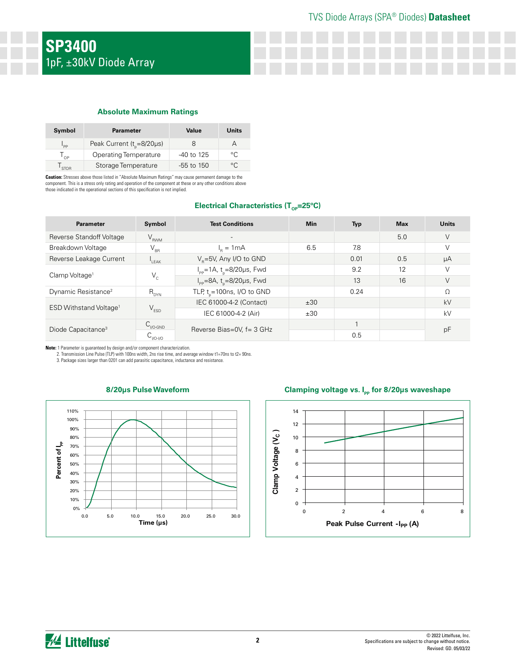#### **Absolute Maximum Ratings**

| Symbol                     | <b>Parameter</b>              | Value          | Units   |
|----------------------------|-------------------------------|----------------|---------|
| l <sub>pp</sub>            | Peak Current $(t0=8/20\mu s)$ | 8              | д       |
| $\mathsf{I}_{\mathsf{OP}}$ | <b>Operating Temperature</b>  | $-40$ to 125   | ∘∩      |
| <b>STOR</b>                | Storage Temperature           | $-55$ to $150$ | $\circ$ |

**Caution:** Stresses above those listed in "Absolute Maximum Ratings" may cause permanent damage to the component. This is a stress only rating and operation of the component at these or any other conditions above those indicated in the operational sections of this specification is not implied.

## **Electrical Characteristics (T<sub>op</sub>=25°C)**

| <b>Parameter</b>                   | Symbol                         | <b>Test Conditions</b>                             | <b>Min</b> | <b>Typ</b> | <b>Max</b> | <b>Units</b> |  |
|------------------------------------|--------------------------------|----------------------------------------------------|------------|------------|------------|--------------|--|
| Reverse Standoff Voltage           | $V_{RWM}$                      | $\overline{\phantom{0}}$                           |            |            | 5.0        | V            |  |
| Breakdown Voltage                  | $\mathsf{V}_{\texttt{BR}}$     | $I_n = 1mA$                                        | 6.5        | 7.8        |            |              |  |
| Reverse Leakage Current            | $I_{\parallel$ FAK             | $VB=5V$ , Any I/O to GND                           |            | 0.01       | 0.5        | μA           |  |
| Clamp Voltage <sup>1</sup>         | $V_c$                          | $I_{\rm pp}$ =1A, t <sub>n</sub> =8/20µs, Fwd      |            | 9.2        | 12         |              |  |
|                                    |                                | $I_{\text{pp}} = 8A$ , t <sub>n</sub> =8/20µs, Fwd |            | 13         | 16         | V            |  |
| Dynamic Resistance <sup>2</sup>    | $R_{DYN}$                      | TLP, $t_{0}$ = 100ns, I/O to GND                   |            | 0.24       |            | Ω            |  |
| ESD Withstand Voltage <sup>1</sup> | $V_{ESD}$                      | IEC 61000-4-2 (Contact)                            | ±30        |            |            | kV           |  |
|                                    |                                | IEC 61000-4-2 (Air)                                | $\pm 30$   |            |            | kV           |  |
| Diode Capacitance <sup>3</sup>     | $C_{\text{V}O-GND}$            |                                                    |            |            |            | pF           |  |
|                                    | $C_{\frac{1}{10} \cdot 1}{10}$ | Reverse Bias=0V, $f = 3$ GHz                       |            | 0.5        |            |              |  |

**Note:** 1 Parameter is guaranteed by design and/or component characterization. 2. Transmission Line Pulse (TLP) with 100ns width, 2ns rise time, and average window t1=70ns to t2= 90ns.

3. Package sizes larger than 0201 can add parasitic capacitance, inductance and resistance.



#### **8/20μs Pulse Waveform**

#### **Clamping voltage vs. I<sub>PP</sub> for 8/20μs waveshape**

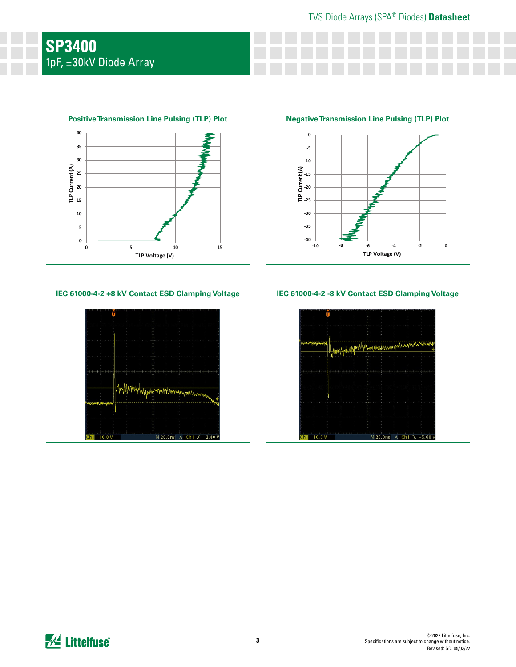

#### **IEC 61000-4-2 +8 kV Contact ESD Clamping Voltage IEC 61000-4-2 -8 kV Contact ESD Clamping Voltage**





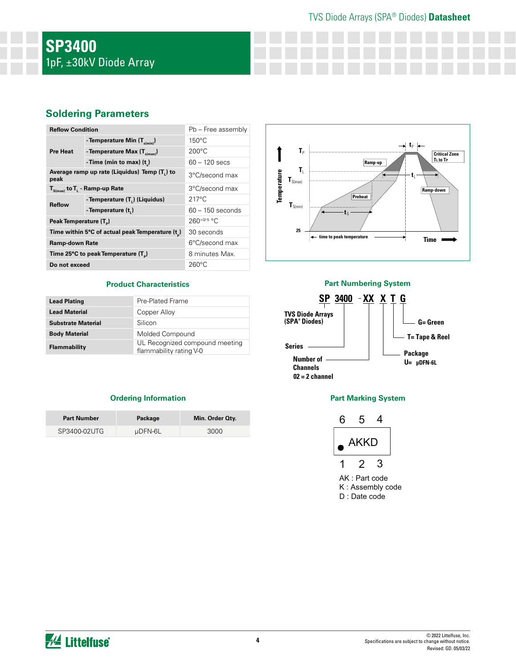# **Soldering Parameters**

| <b>Reflow Condition</b>            |                                                           | Pb - Free assembly |                                            |        |
|------------------------------------|-----------------------------------------------------------|--------------------|--------------------------------------------|--------|
|                                    | - Temperature Min $(T_{s(min)})$                          | $150^{\circ}$ C    |                                            |        |
| <b>Pre Heat</b>                    | - Temperature Max $(T_{\text{s(max)}})$                   | $200^{\circ}$ C    | $T_{\rm p}$                                | Cı     |
|                                    | - Time (min to max) $(t_*)$                               | $60 - 120$ secs    | Ramp-up                                    | Tı,    |
| peak                               | Average ramp up rate (Liquidus) Temp (T <sub>1</sub> ) to | 3°C/second max     | T,<br>Temperature<br>$\textbf{T}_{S(max)}$ |        |
|                                    | $T_{S(max)}$ to $T_{L}$ - Ramp-up Rate                    | 3°C/second max     |                                            | Ramp-d |
|                                    | - Temperature (T.) (Liquidus)                             | $217^{\circ}$ C    | Preheat                                    |        |
| <b>Reflow</b>                      | - Temperature (t)                                         | $60 - 150$ seconds | $T_{S(min)}$<br>Lς                         |        |
| Peak Temperature (T <sub>a</sub> ) |                                                           | $260+0/5$ °C       |                                            |        |
|                                    | Time within 5°C of actual peak Temperature (t)            | 30 seconds         | 25<br>← time to peak temperature           |        |
| <b>Ramp-down Rate</b>              |                                                           | 6°C/second max     |                                            | Time   |
|                                    | Time 25°C to peak Temperature (T <sub>n</sub> )           | 8 minutes Max.     |                                            |        |
| Do not exceed                      |                                                           | $260^{\circ}$ C    |                                            |        |

#### **Product Characteristics**

| <b>Lead Plating</b>       | Pre-Plated Frame                                          |
|---------------------------|-----------------------------------------------------------|
| <b>Lead Material</b>      | Copper Alloy                                              |
| <b>Substrate Material</b> | Silicon                                                   |
| <b>Body Material</b>      | Molded Compound                                           |
| Flammability              | UL Recognized compound meeting<br>flammability rating V-0 |

## **Ordering Information**

| <b>Part Number</b> | Package | Min. Order Oty. |
|--------------------|---------|-----------------|
| SP3400-02UTG       | uDFN-6L | 3000            |



## **Part Numbering System**



### **Part Marking System**



AK : Part code K : Assembly code D : Date code